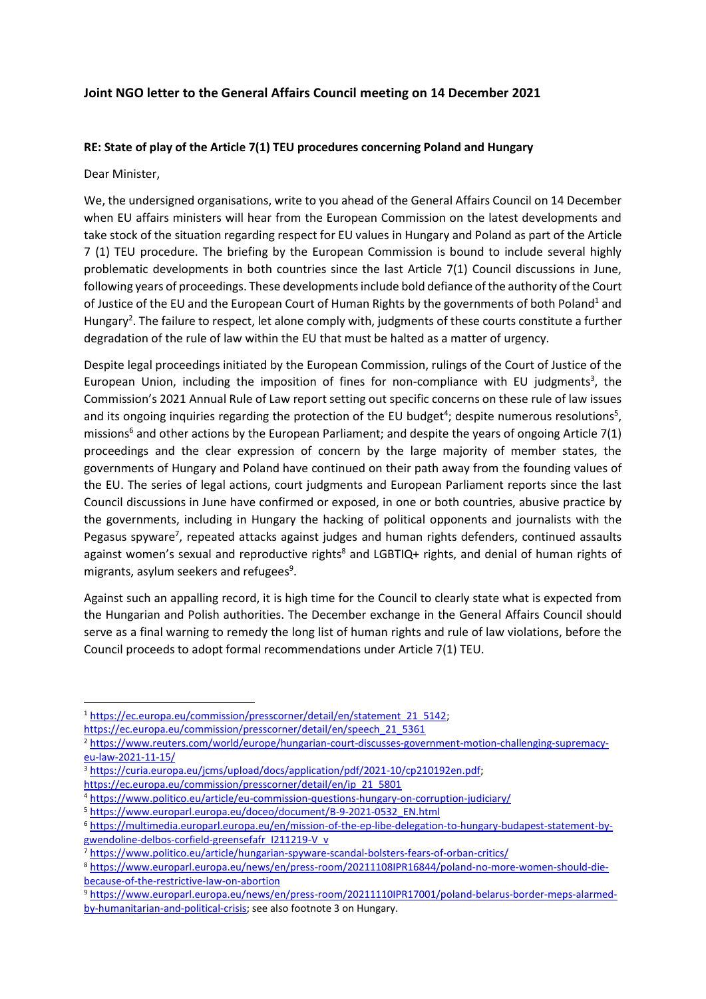## **Joint NGO letter to the General Affairs Council meeting on 14 December 2021**

## **RE: State of play of the Article 7(1) TEU procedures concerning Poland and Hungary**

Dear Minister,

We, the undersigned organisations, write to you ahead of the General Affairs Council on 14 December when EU affairs ministers will hear from the European Commission on the latest developments and take stock of the situation regarding respect for EU values in Hungary and Poland as part of the Article 7 (1) TEU procedure. The briefing by the European Commission is bound to include several highly problematic developments in both countries since the last Article 7(1) Council discussions in June, following years of proceedings. These developments include bold defiance of the authority of the Court of Justice of the EU and the European Court of Human Rights by the governments of both Poland<sup>1</sup> and Hungary<sup>2</sup>. The failure to respect, let alone comply with, judgments of these courts constitute a further degradation of the rule of law within the EU that must be halted as a matter of urgency.

Despite legal proceedings initiated by the European Commission, rulings of the Court of Justice of the European Union, including the imposition of fines for non-compliance with EU judgments<sup>3</sup>, the Commission's 2021 Annual Rule of Law report setting out specific concerns on these rule of law issues and its ongoing inquiries regarding the protection of the EU budget<sup>4</sup>; despite numerous resolutions<sup>5</sup>, missions<sup>6</sup> and other actions by the European Parliament; and despite the years of ongoing Article 7(1) proceedings and the clear expression of concern by the large majority of member states, the governments of Hungary and Poland have continued on their path away from the founding values of the EU. The series of legal actions, court judgments and European Parliament reports since the last Council discussions in June have confirmed or exposed, in one or both countries, abusive practice by the governments, including in Hungary the hacking of political opponents and journalists with the Pegasus spyware<sup>7</sup>, repeated attacks against judges and human rights defenders, continued assaults against women's sexual and reproductive rights<sup>8</sup> and LGBTIQ+ rights, and denial of human rights of migrants, asylum seekers and refugees<sup>9</sup>.

Against such an appalling record, it is high time for the Council to clearly state what is expected from the Hungarian and Polish authorities. The December exchange in the General Affairs Council should serve as a final warning to remedy the long list of human rights and rule of law violations, before the Council proceeds to adopt formal recommendations under Article 7(1) TEU.

<sup>&</sup>lt;sup>1</sup> [https://ec.europa.eu/commission/presscorner/detail/en/statement\\_21\\_5142;](https://ec.europa.eu/commission/presscorner/detail/en/statement_21_5142)

[https://ec.europa.eu/commission/presscorner/detail/en/speech\\_21\\_5361](https://ec.europa.eu/commission/presscorner/detail/en/speech_21_5361)

<sup>2</sup> [https://www.reuters.com/world/europe/hungarian-court-discusses-government-motion-challenging-supremacy](https://www.reuters.com/world/europe/hungarian-court-discusses-government-motion-challenging-supremacy-eu-law-2021-11-15/)[eu-law-2021-11-15/](https://www.reuters.com/world/europe/hungarian-court-discusses-government-motion-challenging-supremacy-eu-law-2021-11-15/)

<sup>&</sup>lt;sup>3</sup> https://curia.europa.eu/jcms/upload/docs/application/pdf/2021-10/cp210192en.pdf;

[https://ec.europa.eu/commission/presscorner/detail/en/ip\\_21\\_5801](https://ec.europa.eu/commission/presscorner/detail/en/ip_21_5801)

<sup>4</sup> <https://www.politico.eu/article/eu-commission-questions-hungary-on-corruption-judiciary/>

<sup>5</sup> [https://www.europarl.europa.eu/doceo/document/B-9-2021-0532\\_EN.html](https://www.europarl.europa.eu/doceo/document/B-9-2021-0532_EN.html)

<sup>6</sup> [https://multimedia.europarl.europa.eu/en/mission-of-the-ep-libe-delegation-to-hungary-budapest-statement-by](https://multimedia.europarl.europa.eu/en/mission-of-the-ep-libe-delegation-to-hungary-budapest-statement-by-gwendoline-delbos-corfield-greensefafr_I211219-V_v)[gwendoline-delbos-corfield-greensefafr\\_I211219-V\\_v](https://multimedia.europarl.europa.eu/en/mission-of-the-ep-libe-delegation-to-hungary-budapest-statement-by-gwendoline-delbos-corfield-greensefafr_I211219-V_v)

<sup>7</sup> <https://www.politico.eu/article/hungarian-spyware-scandal-bolsters-fears-of-orban-critics/>

<sup>8</sup> [https://www.europarl.europa.eu/news/en/press-room/20211108IPR16844/poland-no-more-women-should-die](https://www.europarl.europa.eu/news/en/press-room/20211108IPR16844/poland-no-more-women-should-die-because-of-the-restrictive-law-on-abortion)[because-of-the-restrictive-law-on-abortion](https://www.europarl.europa.eu/news/en/press-room/20211108IPR16844/poland-no-more-women-should-die-because-of-the-restrictive-law-on-abortion)

<sup>9</sup> [https://www.europarl.europa.eu/news/en/press-room/20211110IPR17001/poland-belarus-border-meps-alarmed](https://www.europarl.europa.eu/news/en/press-room/20211110IPR17001/poland-belarus-border-meps-alarmed-by-humanitarian-and-political-crisis)[by-humanitarian-and-political-crisis;](https://www.europarl.europa.eu/news/en/press-room/20211110IPR17001/poland-belarus-border-meps-alarmed-by-humanitarian-and-political-crisis) see also footnote 3 on Hungary.